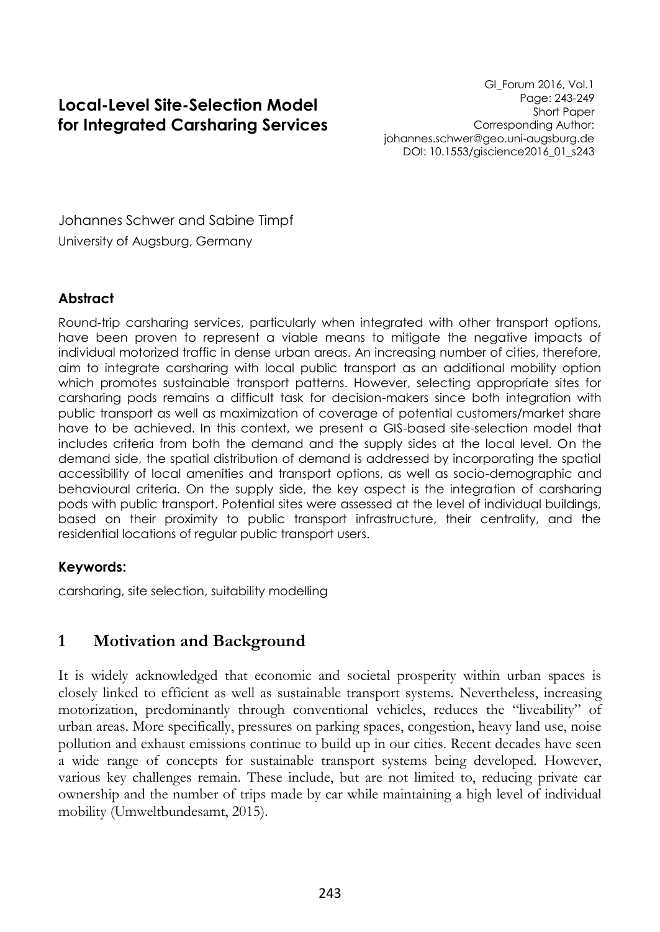# **Local-Level Site-Selection Model for Integrated Carsharing Services**

GI\_Forum 2016, Vol.1 Page: 243-249 Short Paper Corresponding Author: johannes.schwer@geo.uni-augsburg.de DOI: 10.1553/giscience2016\_01\_s243

Johannes Schwer and Sabine Timpf University of Augsburg, Germany

### **Abstract**

Round-trip carsharing services, particularly when integrated with other transport options, have been proven to represent a viable means to mitigate the negative impacts of individual motorized traffic in dense urban areas. An increasing number of cities, therefore, aim to integrate carsharing with local public transport as an additional mobility option which promotes sustainable transport patterns. However, selecting appropriate sites for carsharing pods remains a difficult task for decision-makers since both integration with public transport as well as maximization of coverage of potential customers/market share have to be achieved. In this context, we present a GIS-based site-selection model that includes criteria from both the demand and the supply sides at the local level. On the demand side, the spatial distribution of demand is addressed by incorporating the spatial accessibility of local amenities and transport options, as well as socio-demographic and behavioural criteria. On the supply side, the key aspect is the integration of carsharing pods with public transport. Potential sites were assessed at the level of individual buildings, based on their proximity to public transport infrastructure, their centrality, and the residential locations of regular public transport users.

### **Keywords:**

carsharing, site selection, suitability modelling

## **1 Motivation and Background**

It is widely acknowledged that economic and societal prosperity within urban spaces is closely linked to efficient as well as sustainable transport systems. Nevertheless, increasing motorization, predominantly through conventional vehicles, reduces the "liveability" of urban areas. More specifically, pressures on parking spaces, congestion, heavy land use, noise pollution and exhaust emissions continue to build up in our cities. Recent decades have seen a wide range of concepts for sustainable transport systems being developed. However, various key challenges remain. These include, but are not limited to, reducing private car ownership and the number of trips made by car while maintaining a high level of individual mobility (Umweltbundesamt, 2015).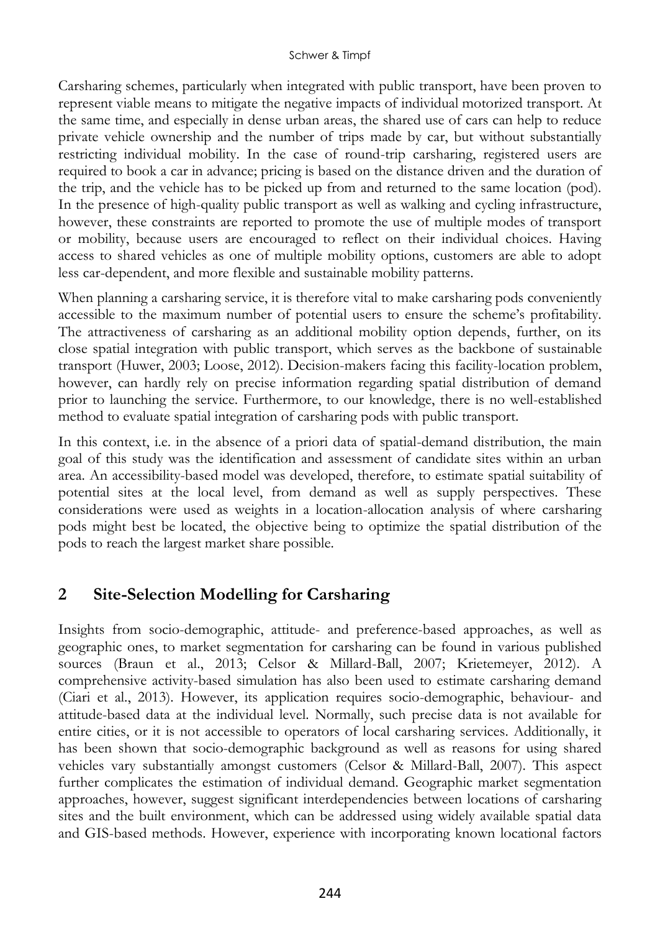Carsharing schemes, particularly when integrated with public transport, have been proven to represent viable means to mitigate the negative impacts of individual motorized transport. At the same time, and especially in dense urban areas, the shared use of cars can help to reduce private vehicle ownership and the number of trips made by car, but without substantially restricting individual mobility. In the case of round-trip carsharing, registered users are required to book a car in advance; pricing is based on the distance driven and the duration of the trip, and the vehicle has to be picked up from and returned to the same location (pod). In the presence of high-quality public transport as well as walking and cycling infrastructure, however, these constraints are reported to promote the use of multiple modes of transport or mobility, because users are encouraged to reflect on their individual choices. Having access to shared vehicles as one of multiple mobility options, customers are able to adopt less car-dependent, and more flexible and sustainable mobility patterns.

When planning a carsharing service, it is therefore vital to make carsharing pods conveniently accessible to the maximum number of potential users to ensure the scheme's profitability. The attractiveness of carsharing as an additional mobility option depends, further, on its close spatial integration with public transport, which serves as the backbone of sustainable transport (Huwer, 2003; Loose, 2012). Decision-makers facing this facility-location problem, however, can hardly rely on precise information regarding spatial distribution of demand prior to launching the service. Furthermore, to our knowledge, there is no well-established method to evaluate spatial integration of carsharing pods with public transport.

In this context, i.e. in the absence of a priori data of spatial-demand distribution, the main goal of this study was the identification and assessment of candidate sites within an urban area. An accessibility-based model was developed, therefore, to estimate spatial suitability of potential sites at the local level, from demand as well as supply perspectives. These considerations were used as weights in a location-allocation analysis of where carsharing pods might best be located, the objective being to optimize the spatial distribution of the pods to reach the largest market share possible.

# **2 Site-Selection Modelling for Carsharing**

Insights from socio-demographic, attitude- and preference-based approaches, as well as geographic ones, to market segmentation for carsharing can be found in various published sources (Braun et al., 2013; Celsor & Millard-Ball, 2007; Krietemeyer, 2012). A comprehensive activity-based simulation has also been used to estimate carsharing demand (Ciari et al., 2013). However, its application requires socio-demographic, behaviour- and attitude-based data at the individual level. Normally, such precise data is not available for entire cities, or it is not accessible to operators of local carsharing services. Additionally, it has been shown that socio-demographic background as well as reasons for using shared vehicles vary substantially amongst customers (Celsor & Millard-Ball, 2007). This aspect further complicates the estimation of individual demand. Geographic market segmentation approaches, however, suggest significant interdependencies between locations of carsharing sites and the built environment, which can be addressed using widely available spatial data and GIS-based methods. However, experience with incorporating known locational factors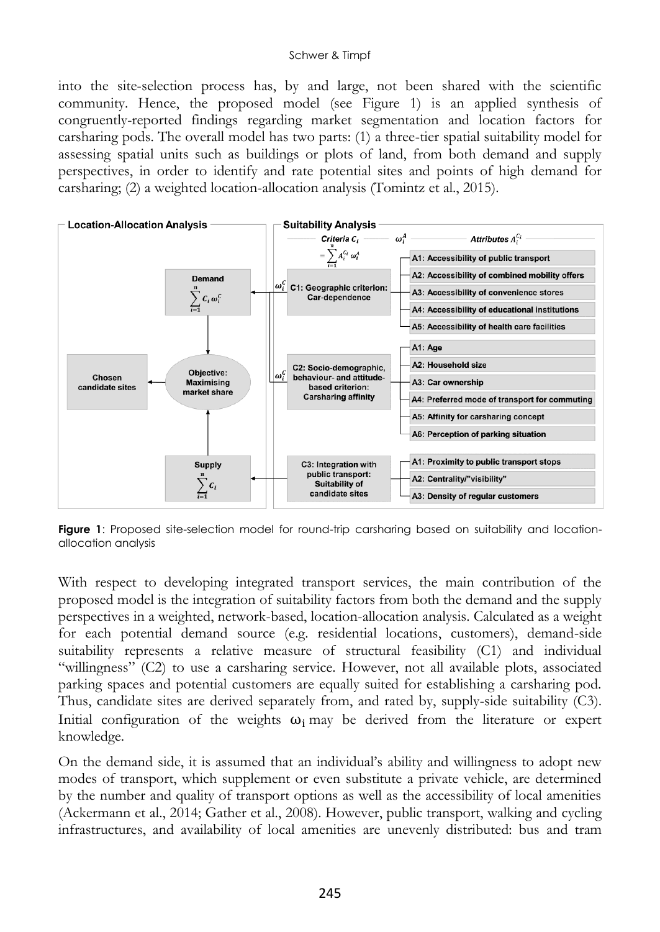#### Schwer & Timpf

into the site-selection process has, by and large, not been shared with the scientific community. Hence, the proposed model (see Figure 1) is an applied synthesis of congruently-reported findings regarding market segmentation and location factors for carsharing pods. The overall model has two parts: (1) a three-tier spatial suitability model for assessing spatial units such as buildings or plots of land, from both demand and supply perspectives, in order to identify and rate potential sites and points of high demand for carsharing; (2) a weighted location-allocation analysis (Tomintz et al., 2015).



**Figure 1**: Proposed site-selection model for round-trip carsharing based on suitability and locationallocation analysis

With respect to developing integrated transport services, the main contribution of the proposed model is the integration of suitability factors from both the demand and the supply perspectives in a weighted, network-based, location-allocation analysis. Calculated as a weight for each potential demand source (e.g. residential locations, customers), demand-side suitability represents a relative measure of structural feasibility (C1) and individual "willingness" (C2) to use a carsharing service. However, not all available plots, associated parking spaces and potential customers are equally suited for establishing a carsharing pod. Thus, candidate sites are derived separately from, and rated by, supply-side suitability (C3). Initial configuration of the weights  $\omega_i$  may be derived from the literature or expert knowledge.

On the demand side, it is assumed that an individual's ability and willingness to adopt new modes of transport, which supplement or even substitute a private vehicle, are determined by the number and quality of transport options as well as the accessibility of local amenities (Ackermann et al., 2014; Gather et al., 2008). However, public transport, walking and cycling infrastructures, and availability of local amenities are unevenly distributed: bus and tram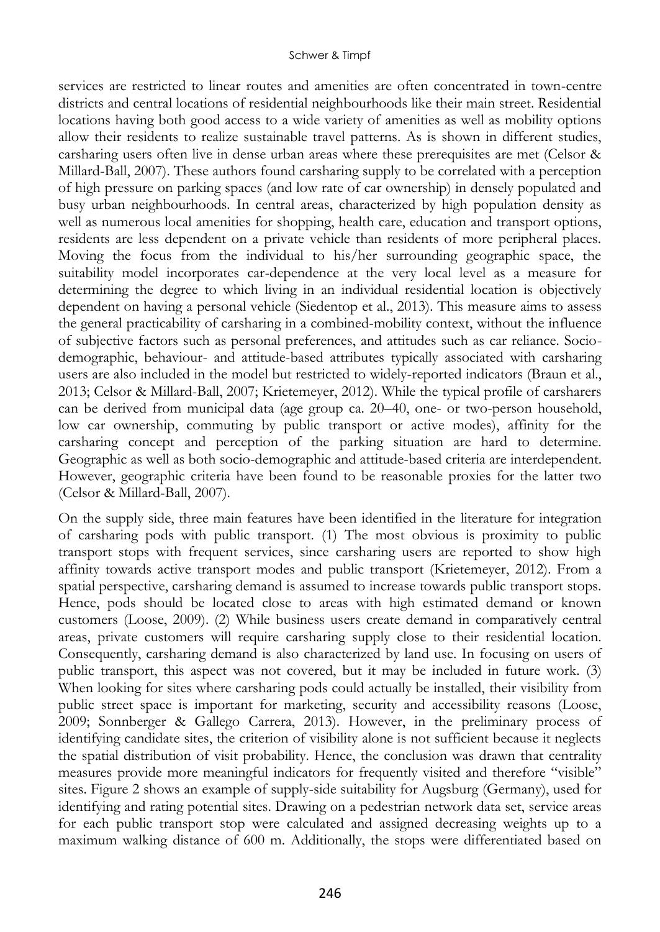services are restricted to linear routes and amenities are often concentrated in town-centre districts and central locations of residential neighbourhoods like their main street. Residential locations having both good access to a wide variety of amenities as well as mobility options allow their residents to realize sustainable travel patterns. As is shown in different studies, carsharing users often live in dense urban areas where these prerequisites are met (Celsor & Millard-Ball, 2007). These authors found carsharing supply to be correlated with a perception of high pressure on parking spaces (and low rate of car ownership) in densely populated and busy urban neighbourhoods. In central areas, characterized by high population density as well as numerous local amenities for shopping, health care, education and transport options, residents are less dependent on a private vehicle than residents of more peripheral places. Moving the focus from the individual to his/her surrounding geographic space, the suitability model incorporates car-dependence at the very local level as a measure for determining the degree to which living in an individual residential location is objectively dependent on having a personal vehicle (Siedentop et al., 2013). This measure aims to assess the general practicability of carsharing in a combined-mobility context, without the influence of subjective factors such as personal preferences, and attitudes such as car reliance. Sociodemographic, behaviour- and attitude-based attributes typically associated with carsharing users are also included in the model but restricted to widely-reported indicators (Braun et al., 2013; Celsor & Millard-Ball, 2007; Krietemeyer, 2012). While the typical profile of carsharers can be derived from municipal data (age group ca. 20–40, one- or two-person household, low car ownership, commuting by public transport or active modes), affinity for the carsharing concept and perception of the parking situation are hard to determine. Geographic as well as both socio-demographic and attitude-based criteria are interdependent. However, geographic criteria have been found to be reasonable proxies for the latter two (Celsor & Millard-Ball, 2007).

On the supply side, three main features have been identified in the literature for integration of carsharing pods with public transport. (1) The most obvious is proximity to public transport stops with frequent services, since carsharing users are reported to show high affinity towards active transport modes and public transport (Krietemeyer, 2012). From a spatial perspective, carsharing demand is assumed to increase towards public transport stops. Hence, pods should be located close to areas with high estimated demand or known customers (Loose, 2009). (2) While business users create demand in comparatively central areas, private customers will require carsharing supply close to their residential location. Consequently, carsharing demand is also characterized by land use. In focusing on users of public transport, this aspect was not covered, but it may be included in future work. (3) When looking for sites where carsharing pods could actually be installed, their visibility from public street space is important for marketing, security and accessibility reasons (Loose, 2009; Sonnberger & Gallego Carrera, 2013). However, in the preliminary process of identifying candidate sites, the criterion of visibility alone is not sufficient because it neglects the spatial distribution of visit probability. Hence, the conclusion was drawn that centrality measures provide more meaningful indicators for frequently visited and therefore "visible" sites. Figure 2 shows an example of supply-side suitability for Augsburg (Germany), used for identifying and rating potential sites. Drawing on a pedestrian network data set, service areas for each public transport stop were calculated and assigned decreasing weights up to a maximum walking distance of 600 m. Additionally, the stops were differentiated based on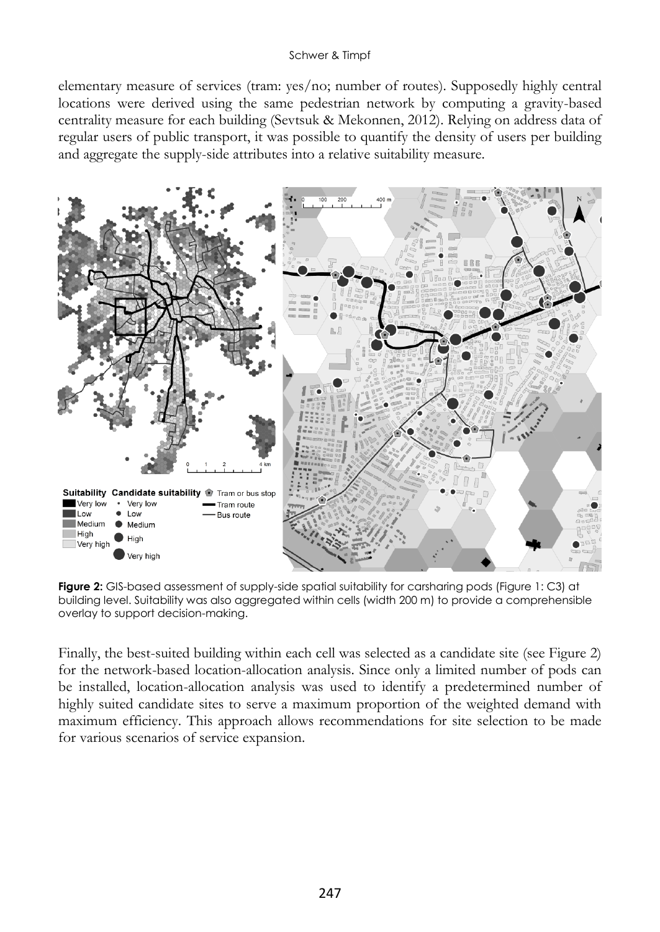#### Schwer & Timpf

elementary measure of services (tram: yes/no; number of routes). Supposedly highly central locations were derived using the same pedestrian network by computing a gravity-based centrality measure for each building (Sevtsuk & Mekonnen, 2012). Relying on address data of regular users of public transport, it was possible to quantify the density of users per building and aggregate the supply-side attributes into a relative suitability measure.



**Figure 2:** GIS-based assessment of supply-side spatial suitability for carsharing pods (Figure 1: C3) at building level. Suitability was also aggregated within cells (width 200 m) to provide a comprehensible overlay to support decision-making.

Finally, the best-suited building within each cell was selected as a candidate site (see Figure 2) for the network-based location-allocation analysis. Since only a limited number of pods can be installed, location-allocation analysis was used to identify a predetermined number of highly suited candidate sites to serve a maximum proportion of the weighted demand with maximum efficiency. This approach allows recommendations for site selection to be made for various scenarios of service expansion.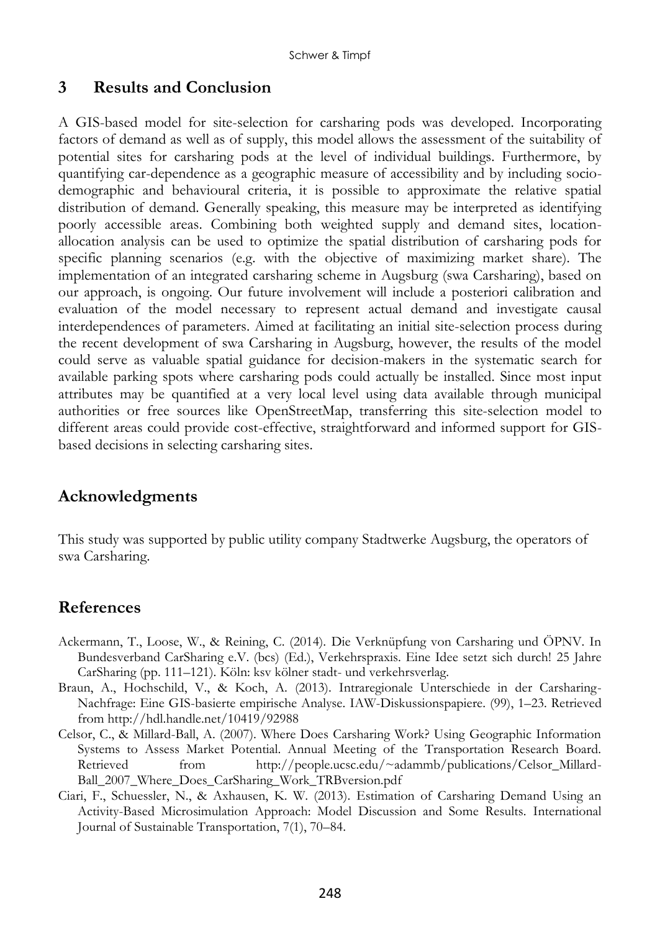## **3 Results and Conclusion**

A GIS-based model for site-selection for carsharing pods was developed. Incorporating factors of demand as well as of supply, this model allows the assessment of the suitability of potential sites for carsharing pods at the level of individual buildings. Furthermore, by quantifying car-dependence as a geographic measure of accessibility and by including sociodemographic and behavioural criteria, it is possible to approximate the relative spatial distribution of demand. Generally speaking, this measure may be interpreted as identifying poorly accessible areas. Combining both weighted supply and demand sites, locationallocation analysis can be used to optimize the spatial distribution of carsharing pods for specific planning scenarios (e.g. with the objective of maximizing market share). The implementation of an integrated carsharing scheme in Augsburg (swa Carsharing), based on our approach, is ongoing. Our future involvement will include a posteriori calibration and evaluation of the model necessary to represent actual demand and investigate causal interdependences of parameters. Aimed at facilitating an initial site-selection process during the recent development of swa Carsharing in Augsburg, however, the results of the model could serve as valuable spatial guidance for decision-makers in the systematic search for available parking spots where carsharing pods could actually be installed. Since most input attributes may be quantified at a very local level using data available through municipal authorities or free sources like OpenStreetMap, transferring this site-selection model to different areas could provide cost-effective, straightforward and informed support for GISbased decisions in selecting carsharing sites.

## **Acknowledgments**

This study was supported by public utility company Stadtwerke Augsburg, the operators of swa Carsharing.

## **References**

- Ackermann, T., Loose, W., & Reining, C. (2014). Die Verknüpfung von Carsharing und ÖPNV. In Bundesverband CarSharing e.V. (bcs) (Ed.), Verkehrspraxis. Eine Idee setzt sich durch! 25 Jahre CarSharing (pp. 111–121). Köln: ksv kölner stadt- und verkehrsverlag.
- Braun, A., Hochschild, V., & Koch, A. (2013). Intraregionale Unterschiede in der Carsharing-Nachfrage: Eine GIS-basierte empirische Analyse. IAW-Diskussionspapiere. (99), 1–23. Retrieved from http://hdl.handle.net/10419/92988
- Celsor, C., & Millard-Ball, A. (2007). Where Does Carsharing Work? Using Geographic Information Systems to Assess Market Potential. Annual Meeting of the Transportation Research Board. Retrieved from http://people.ucsc.edu/~adammb/publications/Celsor\_Millard-Ball\_2007\_Where\_Does\_CarSharing\_Work\_TRBversion.pdf
- Ciari, F., Schuessler, N., & Axhausen, K. W. (2013). Estimation of Carsharing Demand Using an Activity-Based Microsimulation Approach: Model Discussion and Some Results. International Journal of Sustainable Transportation, 7(1), 70–84.